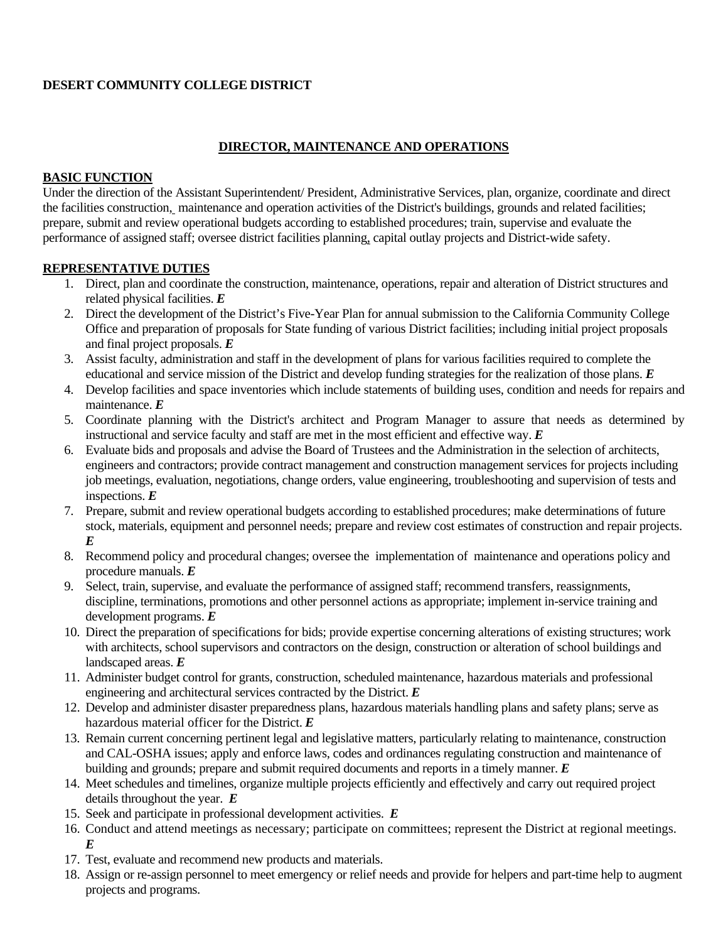# **DESERT COMMUNITY COLLEGE DISTRICT**

### **DIRECTOR, MAINTENANCE AND OPERATIONS**

#### **BASIC FUNCTION**

Under the direction of the Assistant Superintendent/ President, Administrative Services, plan, organize, coordinate and direct the facilities construction, maintenance and operation activities of the District's buildings, grounds and related facilities; prepare, submit and review operational budgets according to established procedures; train, supervise and evaluate the performance of assigned staff; oversee district facilities planning, capital outlay projects and District-wide safety.

#### **REPRESENTATIVE DUTIES**

- 1. Direct, plan and coordinate the construction, maintenance, operations, repair and alteration of District structures and related physical facilities. *E*
- 2. Direct the development of the District's Five-Year Plan for annual submission to the California Community College Office and preparation of proposals for State funding of various District facilities; including initial project proposals and final project proposals. *E*
- 3. Assist faculty, administration and staff in the development of plans for various facilities required to complete the educational and service mission of the District and develop funding strategies for the realization of those plans. *E*
- 4. Develop facilities and space inventories which include statements of building uses, condition and needs for repairs and maintenance. *E*
- 5. Coordinate planning with the District's architect and Program Manager to assure that needs as determined by instructional and service faculty and staff are met in the most efficient and effective way. *E*
- 6. Evaluate bids and proposals and advise the Board of Trustees and the Administration in the selection of architects, engineers and contractors; provide contract management and construction management services for projects including job meetings, evaluation, negotiations, change orders, value engineering, troubleshooting and supervision of tests and inspections. *E*
- 7. Prepare, submit and review operational budgets according to established procedures; make determinations of future stock, materials, equipment and personnel needs; prepare and review cost estimates of construction and repair projects. *E*
- 8. Recommend policy and procedural changes; oversee the implementation of maintenance and operations policy and procedure manuals. *E*
- 9. Select, train, supervise, and evaluate the performance of assigned staff; recommend transfers, reassignments, discipline, terminations, promotions and other personnel actions as appropriate; implement in-service training and development programs. *E*
- 10. Direct the preparation of specifications for bids; provide expertise concerning alterations of existing structures; work with architects, school supervisors and contractors on the design, construction or alteration of school buildings and landscaped areas. *E*
- 11. Administer budget control for grants, construction, scheduled maintenance, hazardous materials and professional engineering and architectural services contracted by the District. *E*
- 12. Develop and administer disaster preparedness plans, hazardous materials handling plans and safety plans; serve as hazardous material officer for the District. *E*
- 13. Remain current concerning pertinent legal and legislative matters, particularly relating to maintenance, construction and CAL-OSHA issues; apply and enforce laws, codes and ordinances regulating construction and maintenance of building and grounds; prepare and submit required documents and reports in a timely manner. *E*
- 14. Meet schedules and timelines, organize multiple projects efficiently and effectively and carry out required project details throughout the year. *E*
- 15. Seek and participate in professional development activities. *E*
- 16. Conduct and attend meetings as necessary; participate on committees; represent the District at regional meetings. *E*
- 17. Test, evaluate and recommend new products and materials.
- 18. Assign or re-assign personnel to meet emergency or relief needs and provide for helpers and part-time help to augment projects and programs.